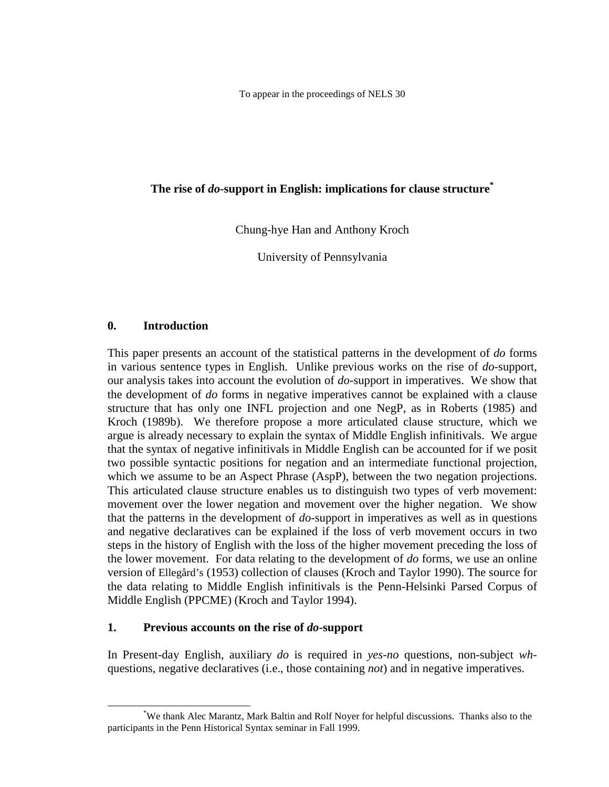To appear in the proceedings of NELS 30

## **The rise of** *do***-support in English: implications for clause structure\***

Chung-hye Han and Anthony Kroch

University of Pennsylvania

### **0. Introduction**

This paper presents an account of the statistical patterns in the development of *do* forms in various sentence types in English. Unlike previous works on the rise of *do*-support, our analysis takes into account the evolution of *do*-support in imperatives. We show that the development of *do* forms in negative imperatives cannot be explained with a clause structure that has only one INFL projection and one NegP, as in Roberts (1985) and Kroch (1989b). We therefore propose a more articulated clause structure, which we argue is already necessary to explain the syntax of Middle English infinitivals. We argue that the syntax of negative infinitivals in Middle English can be accounted for if we posit two possible syntactic positions for negation and an intermediate functional projection, which we assume to be an Aspect Phrase (AspP), between the two negation projections. This articulated clause structure enables us to distinguish two types of verb movement: movement over the lower negation and movement over the higher negation. We show that the patterns in the development of *do*-support in imperatives as well as in questions and negative declaratives can be explained if the loss of verb movement occurs in two steps in the history of English with the loss of the higher movement preceding the loss of the lower movement. For data relating to the development of *do* forms, we use an online version of Ellegård's (1953) collection of clauses (Kroch and Taylor 1990). The source for the data relating to Middle English infinitivals is the Penn-Helsinki Parsed Corpus of Middle English (PPCME) (Kroch and Taylor 1994).

### **1. Previous accounts on the rise of** *do***-support**

In Present-day English, auxiliary *do* is required in *yes*-*no* questions, non-subject *wh*questions, negative declaratives (i.e., those containing *not*) and in negative imperatives.

 <sup>\*</sup> We thank Alec Marantz, Mark Baltin and Rolf Noyer for helpful discussions. Thanks also to the participants in the Penn Historical Syntax seminar in Fall 1999.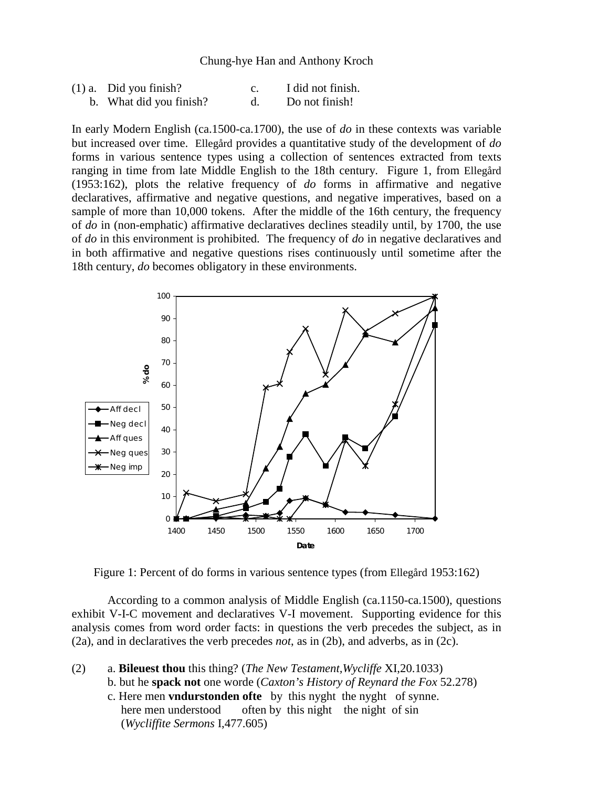| $(1)$ a. Did you finish? | I did not finish. |
|--------------------------|-------------------|
| b. What did you finish?  | Do not finish!    |

In early Modern English (ca.1500-ca.1700), the use of *do* in these contexts was variable but increased over time. Ellegård provides a quantitative study of the development of *do* forms in various sentence types using a collection of sentences extracted from texts ranging in time from late Middle English to the 18th century. Figure 1, from Ellegård (1953:162), plots the relative frequency of *do* forms in affirmative and negative declaratives, affirmative and negative questions, and negative imperatives, based on a sample of more than 10,000 tokens. After the middle of the 16th century, the frequency of *do* in (non-emphatic) affirmative declaratives declines steadily until, by 1700, the use of *do* in this environment is prohibited. The frequency of *do* in negative declaratives and in both affirmative and negative questions rises continuously until sometime after the 18th century, *do* becomes obligatory in these environments.



Figure 1: Percent of do forms in various sentence types (from Ellegård 1953:162)

According to a common analysis of Middle English (ca.1150-ca.1500), questions exhibit V-I-C movement and declaratives V-I movement. Supporting evidence for this analysis comes from word order facts: in questions the verb precedes the subject, as in (2a), and in declaratives the verb precedes *not*, as in (2b), and adverbs, as in (2c).

(2) a. **Bileuest thou** this thing? (*The New Testament,Wycliffe* XI,20.1033) b. but he **spack not** one worde (*Caxton's History of Reynard the Fox* 52.278) c. Here men **vndurstonden ofte** by this nyght the nyght of synne. here men understood often by this night the night of sin (*Wycliffite Sermons* I,477.605)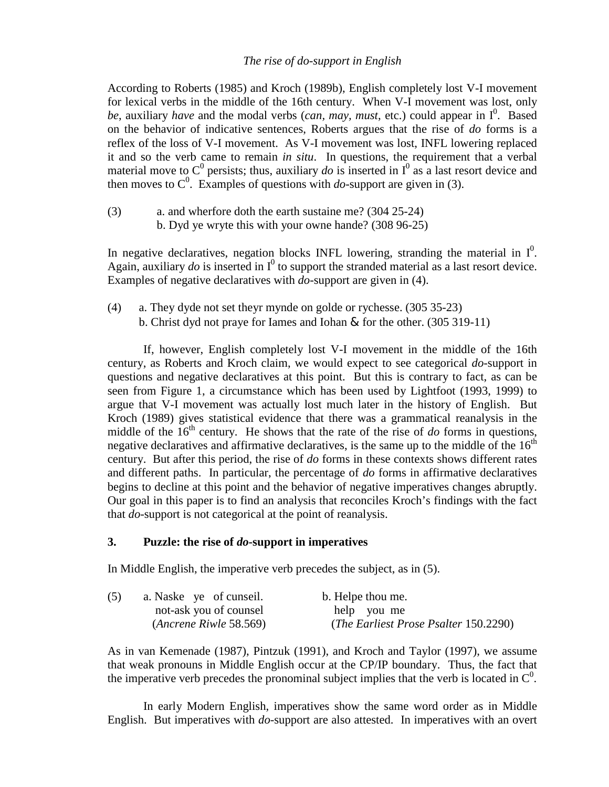#### *The rise of do-support in English*

According to Roberts (1985) and Kroch (1989b), English completely lost V-I movement for lexical verbs in the middle of the 16th century. When V-I movement was lost, only be, auxiliary *have* and the modal verbs (*can, may, must, etc.*) could appear in  $I^0$ . Based on the behavior of indicative sentences, Roberts argues that the rise of *do* forms is a reflex of the loss of V-I movement. As V-I movement was lost, INFL lowering replaced it and so the verb came to remain *in situ*. In questions, the requirement that a verbal material move to  $C^0$  persists; thus, auxiliary *do* is inserted in  $I^0$  as a last resort device and then moves to  $C^0$ . Examples of questions with *do*-support are given in (3).

(3) a. and wherfore doth the earth sustaine me? (304 25-24) b. Dyd ye wryte this with your owne hande? (308 96-25)

In negative declaratives, negation blocks INFL lowering, stranding the material in  $I^0$ . Again, auxiliary  $d\sigma$  is inserted in  $I^0$  to support the stranded material as a last resort device. Examples of negative declaratives with *do*-support are given in (4).

(4) a. They dyde not set theyr mynde on golde or rychesse. (305 35-23) b. Christ dyd not praye for Iames and Iohan & for the other. (305 319-11)

If, however, English completely lost V-I movement in the middle of the 16th century, as Roberts and Kroch claim, we would expect to see categorical *do*-support in questions and negative declaratives at this point. But this is contrary to fact, as can be seen from Figure 1, a circumstance which has been used by Lightfoot (1993, 1999) to argue that V-I movement was actually lost much later in the history of English. But Kroch (1989) gives statistical evidence that there was a grammatical reanalysis in the middle of the  $16<sup>th</sup>$  century. He shows that the rate of the rise of *do* forms in questions, negative declaratives and affirmative declaratives, is the same up to the middle of the  $16<sup>th</sup>$ century. But after this period, the rise of *do* forms in these contexts shows different rates and different paths. In particular, the percentage of *do* forms in affirmative declaratives begins to decline at this point and the behavior of negative imperatives changes abruptly. Our goal in this paper is to find an analysis that reconciles Kroch's findings with the fact that *do*-support is not categorical at the point of reanalysis.

### **3. Puzzle: the rise of** *do***-support in imperatives**

In Middle English, the imperative verb precedes the subject, as in (5).

| (5) | a. Naske ye of cunseil. | b. Helpe thou me.                              |
|-----|-------------------------|------------------------------------------------|
|     | not-ask you of counsel  | help you me                                    |
|     | (Ancrene Riwle 58.569)  | ( <i>The Earliest Prose Psalter 150.2290</i> ) |

As in van Kemenade (1987), Pintzuk (1991), and Kroch and Taylor (1997), we assume that weak pronouns in Middle English occur at the CP/IP boundary. Thus, the fact that the imperative verb precedes the pronominal subject implies that the verb is located in  $\mathcal{C}^0$ .

In early Modern English, imperatives show the same word order as in Middle English. But imperatives with *do*-support are also attested. In imperatives with an overt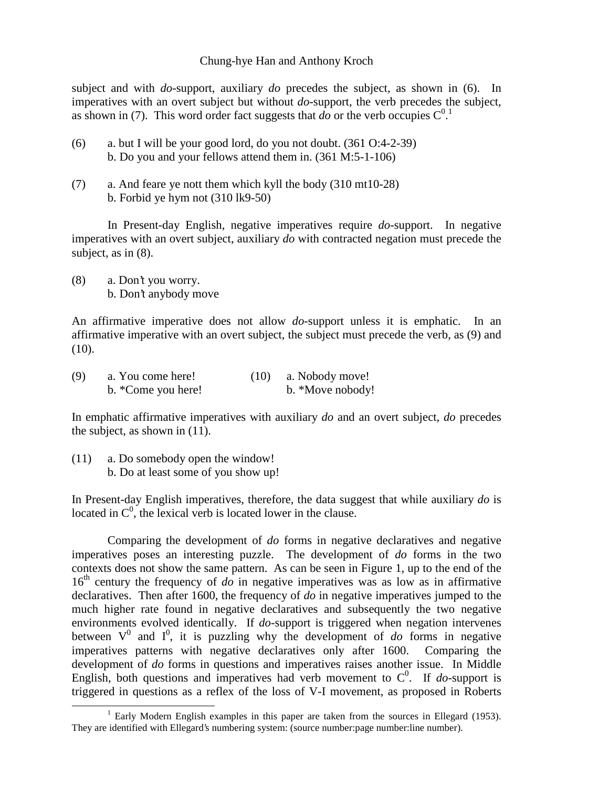subject and with *do*-support, auxiliary *do* precedes the subject, as shown in (6). In imperatives with an overt subject but without *do*-support, the verb precedes the subject, as shown in (7). This word order fact suggests that *do* or the verb occupies  $C^{0.1}$ 

- (6) a. but I will be your good lord, do you not doubt. (361 O:4-2-39) b. Do you and your fellows attend them in. (361 M:5-1-106)
- (7) a. And feare ye nott them which kyll the body (310 mt10-28) b. Forbid ye hym not (310 lk9-50)

In Present-day English, negative imperatives require *do*-support. In negative imperatives with an overt subject, auxiliary *do* with contracted negation must precede the subject, as in (8).

(8) a. Don't you worry. b. Don't anybody move

An affirmative imperative does not allow *do*-support unless it is emphatic. In an affirmative imperative with an overt subject, the subject must precede the verb, as (9) and  $(10).$ 

| (9) | a. You come here!  | (10) | a. Nobody move!  |
|-----|--------------------|------|------------------|
|     | b. *Come you here! |      | b. *Move nobody! |

In emphatic affirmative imperatives with auxiliary *do* and an overt subject, *do* precedes the subject, as shown in (11).

(11) a. Do somebody open the window! b. Do at least some of you show up!

In Present-day English imperatives, therefore, the data suggest that while auxiliary *do* is located in  $C^0$ , the lexical verb is located lower in the clause.

Comparing the development of *do* forms in negative declaratives and negative imperatives poses an interesting puzzle. The development of *do* forms in the two contexts does not show the same pattern. As can be seen in Figure 1, up to the end of the  $16<sup>th</sup>$  century the frequency of *do* in negative imperatives was as low as in affirmative declaratives. Then after 1600, the frequency of *do* in negative imperatives jumped to the much higher rate found in negative declaratives and subsequently the two negative environments evolved identically. If *do*-support is triggered when negation intervenes between  $V^0$  and  $I^0$ , it is puzzling why the development of *do* forms in negative imperatives patterns with negative declaratives only after 1600. Comparing the development of *do* forms in questions and imperatives raises another issue. In Middle English, both questions and imperatives had verb movement to  $C^0$ . If *do*-support is triggered in questions as a reflex of the loss of V-I movement, as proposed in Roberts

<sup>&</sup>lt;u>1</u>  $1$  Early Modern English examples in this paper are taken from the sources in Ellegard (1953). They are identified with Ellegard's numbering system: (source number:page number:line number).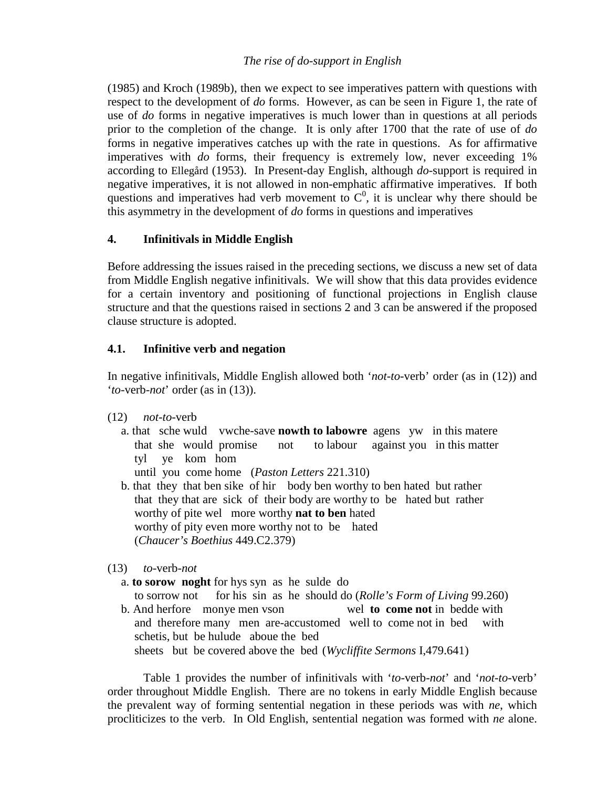(1985) and Kroch (1989b), then we expect to see imperatives pattern with questions with respect to the development of *do* forms. However, as can be seen in Figure 1, the rate of use of *do* forms in negative imperatives is much lower than in questions at all periods prior to the completion of the change. It is only after 1700 that the rate of use of *do* forms in negative imperatives catches up with the rate in questions. As for affirmative imperatives with *do* forms, their frequency is extremely low, never exceeding 1% according to Ellegård (1953). In Present-day English, although *do*-support is required in negative imperatives, it is not allowed in non-emphatic affirmative imperatives. If both questions and imperatives had verb movement to  $C<sup>0</sup>$ , it is unclear why there should be this asymmetry in the development of *do* forms in questions and imperatives

## **4. Infinitivals in Middle English**

Before addressing the issues raised in the preceding sections, we discuss a new set of data from Middle English negative infinitivals. We will show that this data provides evidence for a certain inventory and positioning of functional projections in English clause structure and that the questions raised in sections 2 and 3 can be answered if the proposed clause structure is adopted.

## **4.1. Infinitive verb and negation**

In negative infinitivals, Middle English allowed both '*not-to*-verb' order (as in (12)) and '*to*-verb-*not*' order (as in (13)).

- (12) *not*-*to*-verb
	- a. that sche wuld vwche-save **nowth to labowre** agens yw in this matere that she would promise not to labour against you in this matter tyl ye kom hom
		- until you come home (*Paston Letters* 221.310)
	- b. that they that ben sike of hir body ben worthy to ben hated but rather that they that are sick of their body are worthy to be hated but rather worthy of pite wel more worthy **nat to ben** hated worthy of pity even more worthy not to be hated (*Chaucer's Boethius* 449.C2.379)
- (13) *to*-verb-*not*
	- a. **to sorow noght** for hys syn as he sulde do to sorrow not for his sin as he should do (*Rolle's Form of Living* 99.260)
	- b. And herfore monye men vson wel **to come not** in bedde with and therefore many men are-accustomed well to come not in bed with schetis, but be hulude aboue the bed sheets but be covered above the bed (*Wycliffite Sermons* I,479.641)

Table 1 provides the number of infinitivals with '*to*-verb-*not*' and '*not-to*-verb' order throughout Middle English. There are no tokens in early Middle English because the prevalent way of forming sentential negation in these periods was with *ne*, which procliticizes to the verb. In Old English, sentential negation was formed with *ne* alone.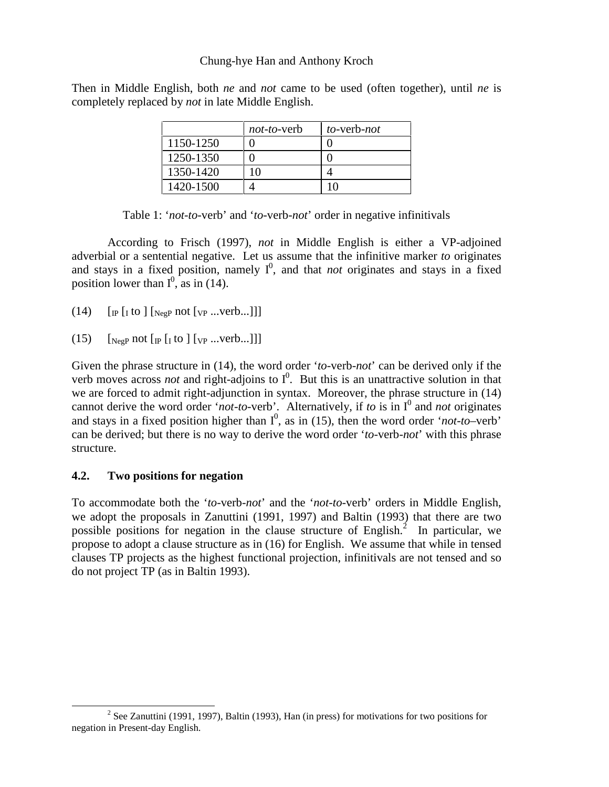Then in Middle English, both *ne* and *not* came to be used (often together), until *ne* is completely replaced by *not* in late Middle English.

|           | <i>not-to-verb</i> | $to$ -verb-not |
|-----------|--------------------|----------------|
| 1150-1250 |                    |                |
| 1250-1350 |                    |                |
| 1350-1420 | 10                 |                |
| 1420-1500 |                    |                |

Table 1: '*not*-*to*-verb' and '*to*-verb-*not*' order in negative infinitivals

According to Frisch (1997), *not* in Middle English is either a VP-adjoined adverbial or a sentential negative. Let us assume that the infinitive marker *to* originates and stays in a fixed position, namely  $I^0$ , and that *not* originates and stays in a fixed position lower than  $I^0$ , as in (14).

- (14)  $\left[$  [ $\left[$  [ $\right]$  to  $\left[$   $\left[$   $\right]$  [ $\left[$   $\left[$   $\right]$   $\left[$   $\left[$   $\left[$   $\left[$   $\right]$   $\left[$   $\left[$   $\left[$   $\right]$   $\left[$   $\left[$   $\left[$   $\right]$   $\left[$   $\left[$   $\left[$   $\left[$   $\right]$   $\left[$   $\left[$   $\left[$   $\left[$   $\left[$   $\left[$   $\right]$   $\left[$
- (15)  $\left[\begin{array}{cc} \text{NegP} & \text{not} \left[\begin{array}{c} \text{or} \end{array} \right] & \text{for} \end{array} \right]$

Given the phrase structure in (14), the word order '*to*-verb-*not*' can be derived only if the verb moves across *not* and right-adjoins to  $I^0$ . But this is an unattractive solution in that we are forced to admit right-adjunction in syntax. Moreover, the phrase structure in (14) cannot derive the word order '*not-to-verb*'. Alternatively, if *to* is in  $I^0$  and *not* originates and stays in a fixed position higher than  $I^0$ , as in (15), then the word order '*not-to*–verb' can be derived; but there is no way to derive the word order '*to*-verb-*not*' with this phrase structure.

### **4.2. Two positions for negation**

To accommodate both the '*to*-verb-*not*' and the '*not-to*-verb' orders in Middle English, we adopt the proposals in Zanuttini (1991, 1997) and Baltin (1993) that there are two possible positions for negation in the clause structure of English.<sup>2</sup> In particular, we propose to adopt a clause structure as in (16) for English. We assume that while in tensed clauses TP projects as the highest functional projection, infinitivals are not tensed and so do not project TP (as in Baltin 1993).

 $\overline{\qquad \qquad }$  $2$  See Zanuttini (1991, 1997), Baltin (1993), Han (in press) for motivations for two positions for negation in Present-day English.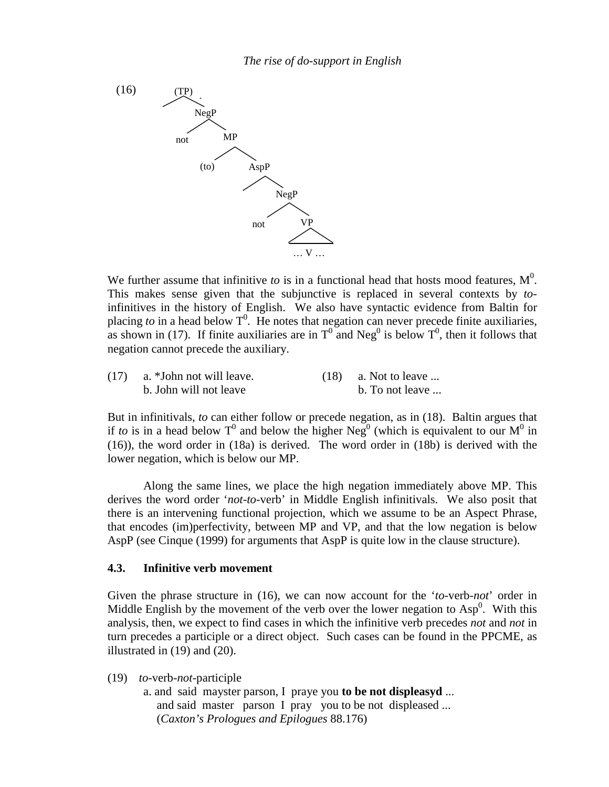

We further assume that infinitive *to* is in a functional head that hosts mood features,  $M^0$ . This makes sense given that the subjunctive is replaced in several contexts by *to*infinitives in the history of English. We also have syntactic evidence from Baltin for placing *to* in a head below  $T^0$ . He notes that negation can never precede finite auxiliaries, as shown in (17). If finite auxiliaries are in  $T^0$  and Neg<sup>0</sup> is below  $T^0$ , then it follows that negation cannot precede the auxiliary.

| (17) | a. *John not will leave. | $(18)$ a. Not to leave |
|------|--------------------------|------------------------|
|      | b. John will not leave   | b. To not leave        |

But in infinitivals, *to* can either follow or precede negation, as in (18). Baltin argues that if *to* is in a head below T<sup>0</sup> and below the higher Neg<sup>0</sup> (which is equivalent to our M<sup>0</sup> in (16)), the word order in (18a) is derived. The word order in (18b) is derived with the lower negation, which is below our MP.

Along the same lines, we place the high negation immediately above MP. This derives the word order '*not-to*-verb' in Middle English infinitivals. We also posit that there is an intervening functional projection, which we assume to be an Aspect Phrase, that encodes (im)perfectivity, between MP and VP, and that the low negation is below AspP (see Cinque (1999) for arguments that AspP is quite low in the clause structure).

### **4.3. Infinitive verb movement**

Given the phrase structure in (16), we can now account for the '*to*-verb-*not*' order in Middle English by the movement of the verb over the lower negation to  $Asp<sup>0</sup>$ . With this analysis, then, we expect to find cases in which the infinitive verb precedes *not* and *not* in turn precedes a participle or a direct object. Such cases can be found in the PPCME, as illustrated in (19) and (20).

(19) *to*-verb-*not*-participle

a. and said mayster parson, I praye you **to be not displeasyd** ... and said master parson I pray you to be not displeased ... (*Caxton's Prologues and Epilogues* 88.176)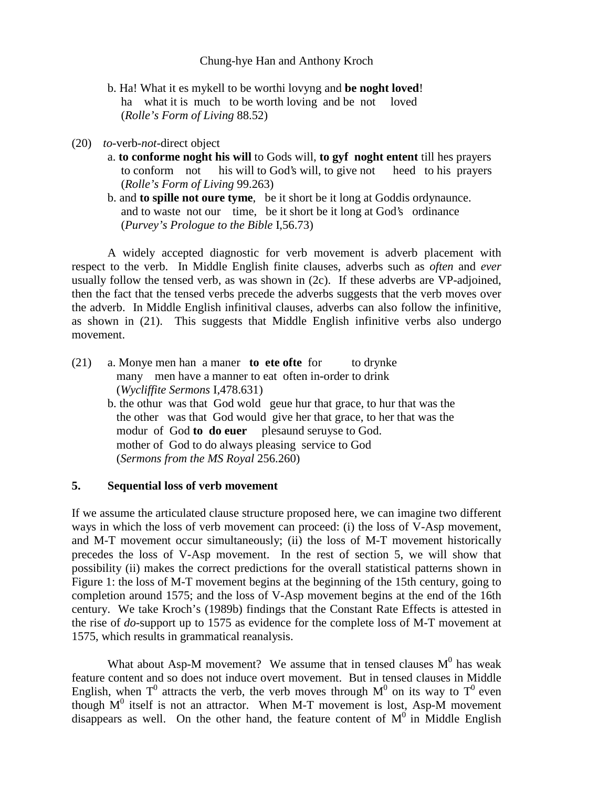- b. Ha! What it es mykell to be worthi lovyng and **be noght loved**! ha what it is much to be worth loving and be not loved (*Rolle's Form of Living* 88.52)
- (20) *to*-verb-*not*-direct object
	- a. **to conforme noght his will** to Gods will, **to gyf noght entent** till hes prayers to conform not his will to God's will, to give not heed to his prayers (*Rolle's Form of Living* 99.263)
	- b. and **to spille not oure tyme**, be it short be it long at Goddis ordynaunce. and to waste not our time, be it short be it long at God's ordinance (*Purvey's Prologue to the Bible* I,56.73)

A widely accepted diagnostic for verb movement is adverb placement with respect to the verb. In Middle English finite clauses, adverbs such as *often* and *ever* usually follow the tensed verb, as was shown in (2c). If these adverbs are VP-adjoined, then the fact that the tensed verbs precede the adverbs suggests that the verb moves over the adverb. In Middle English infinitival clauses, adverbs can also follow the infinitive, as shown in (21). This suggests that Middle English infinitive verbs also undergo movement.

(21) a. Monye men han a maner **to ete ofte** for to drynke many men have a manner to eat often in-order to drink (*Wycliffite Sermons* I,478.631) b. the othur was that God wold geue hur that grace, to hur that was the the other was that God would give her that grace, to her that was the modur of God **to do euer** plesaund seruyse to God. mother of God to do always pleasing service to God (*Sermons from the MS Royal* 256.260)

#### **5. Sequential loss of verb movement**

If we assume the articulated clause structure proposed here, we can imagine two different ways in which the loss of verb movement can proceed: (i) the loss of V-Asp movement, and M-T movement occur simultaneously; (ii) the loss of M-T movement historically precedes the loss of V-Asp movement. In the rest of section 5, we will show that possibility (ii) makes the correct predictions for the overall statistical patterns shown in Figure 1: the loss of M-T movement begins at the beginning of the 15th century, going to completion around 1575; and the loss of V-Asp movement begins at the end of the 16th century. We take Kroch's (1989b) findings that the Constant Rate Effects is attested in the rise of *do*-support up to 1575 as evidence for the complete loss of M-T movement at 1575, which results in grammatical reanalysis.

What about Asp-M movement? We assume that in tensed clauses  $M^0$  has weak feature content and so does not induce overt movement. But in tensed clauses in Middle English, when T<sup>0</sup> attracts the verb, the verb moves through  $M^0$  on its way to T<sup>0</sup> even though  $M^0$  itself is not an attractor. When M-T movement is lost, Asp-M movement disappears as well. On the other hand, the feature content of  $M<sup>0</sup>$  in Middle English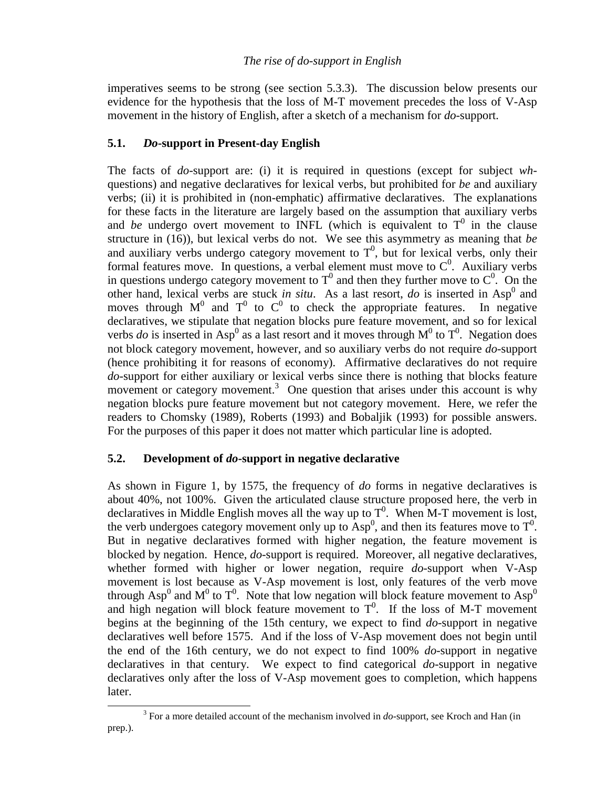imperatives seems to be strong (see section 5.3.3). The discussion below presents our evidence for the hypothesis that the loss of M-T movement precedes the loss of V-Asp movement in the history of English, after a sketch of a mechanism for *do*-support.

# **5.1.** *Do***-support in Present-day English**

The facts of *do*-support are: (i) it is required in questions (except for subject *wh*questions) and negative declaratives for lexical verbs, but prohibited for *be* and auxiliary verbs; (ii) it is prohibited in (non-emphatic) affirmative declaratives. The explanations for these facts in the literature are largely based on the assumption that auxiliary verbs and *be* undergo overt movement to INFL (which is equivalent to  $T^0$  in the clause structure in (16)), but lexical verbs do not. We see this asymmetry as meaning that *be* and auxiliary verbs undergo category movement to  $T<sup>0</sup>$ , but for lexical verbs, only their formal features move. In questions, a verbal element must move to  $C<sup>0</sup>$ . Auxiliary verbs in questions undergo category movement to  $T^0$  and then they further move to  $C^0$ . On the other hand, lexical verbs are stuck *in situ*. As a last resort, *do* is inserted in  $Asp^0$  and moves through  $M^0$  and  $T^0$  to  $C^0$  to check the appropriate features. In negative declaratives, we stipulate that negation blocks pure feature movement, and so for lexical verbs *do* is inserted in Asp<sup>0</sup> as a last resort and it moves through  $M^0$  to  $T^0$ . Negation does not block category movement, however, and so auxiliary verbs do not require *do*-support (hence prohibiting it for reasons of economy). Affirmative declaratives do not require *do*-support for either auxiliary or lexical verbs since there is nothing that blocks feature movement or category movement.<sup>3</sup> One question that arises under this account is why negation blocks pure feature movement but not category movement. Here, we refer the readers to Chomsky (1989), Roberts (1993) and Bobaljik (1993) for possible answers. For the purposes of this paper it does not matter which particular line is adopted.

## **5.2. Development of** *do***-support in negative declarative**

As shown in Figure 1, by 1575, the frequency of *do* forms in negative declaratives is about 40%, not 100%. Given the articulated clause structure proposed here, the verb in declaratives in Middle English moves all the way up to  $T^0$ . When M-T movement is lost, the verb undergoes category movement only up to  $\text{Asp}^0$ , and then its features move to  $T^0$ . But in negative declaratives formed with higher negation, the feature movement is blocked by negation. Hence, *do*-support is required. Moreover, all negative declaratives, whether formed with higher or lower negation, require *do*-support when V-Asp movement is lost because as V-Asp movement is lost, only features of the verb move through Asp<sup>0</sup> and M<sup>0</sup> to T<sup>0</sup>. Note that low negation will block feature movement to Asp<sup>0</sup> and high negation will block feature movement to  $T^0$ . If the loss of M-T movement begins at the beginning of the 15th century, we expect to find *do*-support in negative declaratives well before 1575. And if the loss of V-Asp movement does not begin until the end of the 16th century, we do not expect to find 100% *do*-support in negative declaratives in that century. We expect to find categorical *do*-support in negative declaratives only after the loss of V-Asp movement goes to completion, which happens later.

 $\frac{1}{3}$ <sup>3</sup> For a more detailed account of the mechanism involved in *do*-support, see Kroch and Han (in prep.).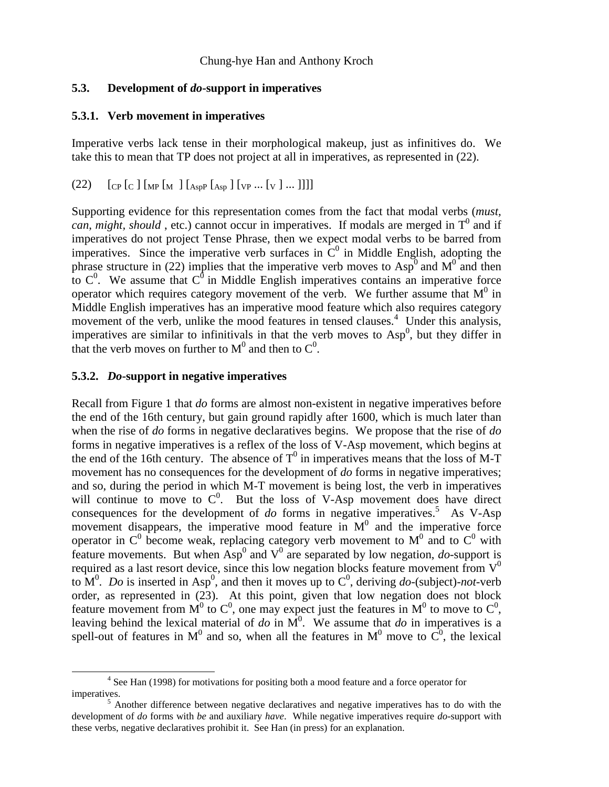### **5.3. Development of** *do***-support in imperatives**

### **5.3.1. Verb movement in imperatives**

Imperative verbs lack tense in their morphological makeup, just as infinitives do. We take this to mean that TP does not project at all in imperatives, as represented in (22).

 $(22)$   $[CP [C] [MP [M] [Asp P [Asp] [VP ... [V] ...]]]]]$ 

Supporting evidence for this representation comes from the fact that modal verbs (*must,*  $can, might, should$ , etc.) cannot occur in imperatives. If modals are merged in  $T^0$  and if imperatives do not project Tense Phrase, then we expect modal verbs to be barred from imperatives. Since the imperative verb surfaces in  $\tilde{C}^0$  in Middle English, adopting the phrase structure in (22) implies that the imperative verb moves to  $\text{Asp}^0$  and  $\text{M}^0$  and then to  $C^0$ . We assume that  $C^0$  in Middle English imperatives contains an imperative force operator which requires category movement of the verb. We further assume that  $M^0$  in Middle English imperatives has an imperative mood feature which also requires category movement of the verb, unlike the mood features in tensed clauses.<sup>4</sup> Under this analysis, imperatives are similar to infinitivals in that the verb moves to  $Asp<sup>0</sup>$ , but they differ in that the verb moves on further to  $M^0$  and then to  $C^0$ .

## **5.3.2.** *Do***-support in negative imperatives**

Recall from Figure 1 that *do* forms are almost non-existent in negative imperatives before the end of the 16th century, but gain ground rapidly after 1600, which is much later than when the rise of *do* forms in negative declaratives begins. We propose that the rise of *do* forms in negative imperatives is a reflex of the loss of V-Asp movement, which begins at the end of the 16th century. The absence of  $T^0$  in imperatives means that the loss of M-T movement has no consequences for the development of *do* forms in negative imperatives; and so, during the period in which M-T movement is being lost, the verb in imperatives will continue to move to  $C^0$ . But the loss of V-Asp movement does have direct consequences for the development of  $do$  forms in negative imperatives.<sup>5</sup> As V-Asp movement disappears, the imperative mood feature in  $M<sup>0</sup>$  and the imperative force operator in  $C^0$  become weak, replacing category verb movement to  $M^0$  and to  $C^0$  with feature movements. But when  $\text{Asp}^0$  and  $V^0$  are separated by low negation, *do*-support is required as a last resort device, since this low negation blocks feature movement from  $V^0$ to  $\mathbf{M}^0$ . *Do* is inserted in Asp<sup>0</sup>, and then it moves up to  $\mathbf{C}^0$ , deriving *do*-(subject)-*not*-verb order, as represented in (23). At this point, given that low negation does not block feature movement from M<sup>0</sup> to C<sup>0</sup>, one may expect just the features in M<sup>0</sup> to move to C<sup>0</sup>, leaving behind the lexical material of  $d\sigma$  in  $\overline{M}^0$ . We assume that  $d\sigma$  in imperatives is a spell-out of features in  $M^0$  and so, when all the features in  $M^0$  move to  $C^0$ , the lexical

 <sup>4</sup> <sup>4</sup> See Han (1998) for motivations for positing both a mood feature and a force operator for imperatives.

 $5$  Another difference between negative declaratives and negative imperatives has to do with the development of *do* forms with *be* and auxiliary *have*. While negative imperatives require *do*-support with these verbs, negative declaratives prohibit it. See Han (in press) for an explanation.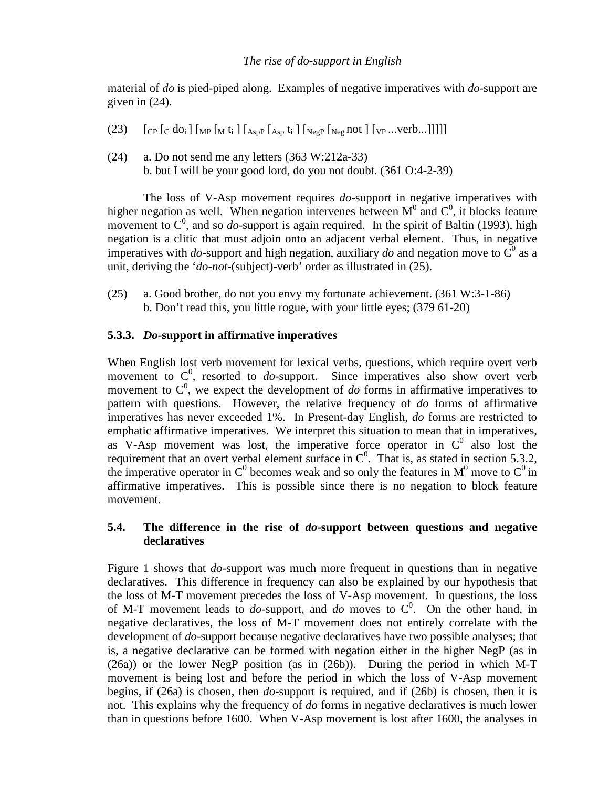material of *do* is pied-piped along. Examples of negative imperatives with *do*-support are given in (24).

- (23)  $\left[ \text{Cp } \left[ \text{C } \text{d} \text{o}_i \right] \left[ \text{MP } \left[ \text{M } \text{t}_i \right] \left[ \text{Asp } \text{R } \text{A}_{\text{sp}} \right] \text{K} \text{P}_{\text{p}} \left[ \text{Neg } \text{D}_{\text{p}} \right] \left[ \text{VP } \dots \text{verb...} \right] \right] \right]$
- $(24)$  a. Do not send me any letters  $(363 W:212a-33)$ b. but I will be your good lord, do you not doubt. (361 O:4-2-39)

The loss of V-Asp movement requires *do*-support in negative imperatives with higher negation as well. When negation intervenes between  $M^0$  and  $C^0$ , it blocks feature movement to  $C^0$ , and so *do*-support is again required. In the spirit of Baltin (1993), high negation is a clitic that must adjoin onto an adjacent verbal element. Thus, in negative imperatives with *do*-support and high negation, auxiliary *do* and negation move to  $\overline{C}^0$  as a unit, deriving the '*do-not*-(subject)-verb' order as illustrated in (25).

(25) a. Good brother, do not you envy my fortunate achievement. (361 W:3-1-86) b. Don't read this, you little rogue, with your little eyes; (379 61-20)

## **5.3.3.** *Do***-support in affirmative imperatives**

When English lost verb movement for lexical verbs, questions, which require overt verb movement to  $C^0$ , resorted to *do*-support. Since imperatives also show overt verb movement to  $C^0$ , we expect the development of *do* forms in affirmative imperatives to pattern with questions. However, the relative frequency of *do* forms of affirmative imperatives has never exceeded 1%. In Present-day English, *do* forms are restricted to emphatic affirmative imperatives. We interpret this situation to mean that in imperatives, as V-Asp movement was lost, the imperative force operator in  $C^0$  also lost the requirement that an overt verbal element surface in  $C^0$ . That is, as stated in section 5.3.2, the imperative operator in C<sup>0</sup> becomes weak and so only the features in  $M^0$  move to C<sup>0</sup> in affirmative imperatives. This is possible since there is no negation to block feature movement.

## **5.4. The difference in the rise of** *do***-support between questions and negative declaratives**

Figure 1 shows that *do*-support was much more frequent in questions than in negative declaratives. This difference in frequency can also be explained by our hypothesis that the loss of M-T movement precedes the loss of V-Asp movement. In questions, the loss of M-T movement leads to  $do$ -support, and  $do$  moves to  $C^0$ . On the other hand, in negative declaratives, the loss of M-T movement does not entirely correlate with the development of *do*-support because negative declaratives have two possible analyses; that is, a negative declarative can be formed with negation either in the higher NegP (as in (26a)) or the lower NegP position (as in (26b)). During the period in which M-T movement is being lost and before the period in which the loss of V-Asp movement begins, if (26a) is chosen, then *do*-support is required, and if (26b) is chosen, then it is not. This explains why the frequency of *do* forms in negative declaratives is much lower than in questions before 1600. When V-Asp movement is lost after 1600, the analyses in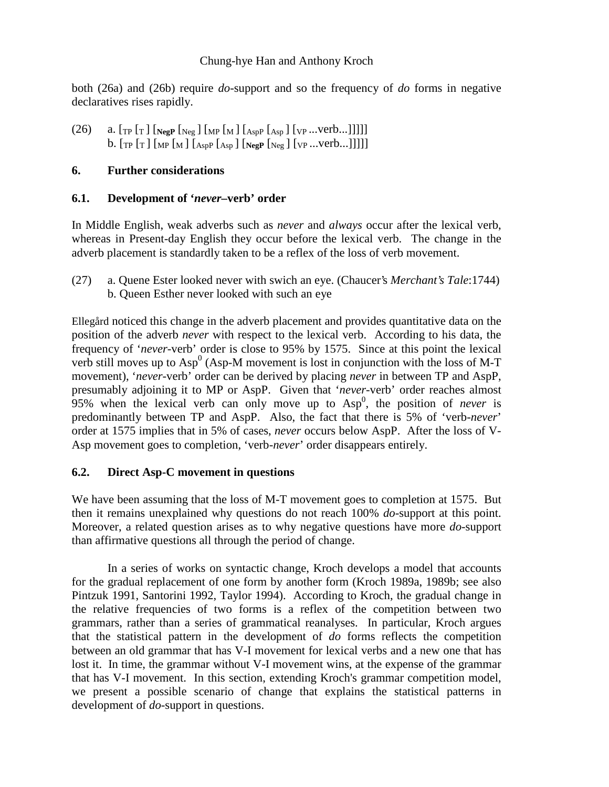both (26a) and (26b) require *do*-support and so the frequency of *do* forms in negative declaratives rises rapidly.

(26) a. [TP [T ] [**NegP** [Neg ] [MP [M ] [AspP [Asp ] [VP ...verb...]]]]] b. [TP [T ] [MP [M ] [AspP [Asp ] [**NegP** [Neg ] [VP ...verb...]]]]]

## **6. Further considerations**

## **6.1. Development of '***never***–verb' order**

In Middle English, weak adverbs such as *never* and *always* occur after the lexical verb, whereas in Present-day English they occur before the lexical verb. The change in the adverb placement is standardly taken to be a reflex of the loss of verb movement.

(27) a. Quene Ester looked never with swich an eye. (Chaucer's *Merchant's Tale*:1744) b. Queen Esther never looked with such an eye

Ellegård noticed this change in the adverb placement and provides quantitative data on the position of the adverb *never* with respect to the lexical verb. According to his data, the frequency of '*never*-verb' order is close to 95% by 1575. Since at this point the lexical verb still moves up to Asp<sup>0</sup> (Asp-M movement is lost in conjunction with the loss of M-T movement), '*never*-verb' order can be derived by placing *never* in between TP and AspP, presumably adjoining it to MP or AspP. Given that '*never*-verb' order reaches almost  $95%$  when the lexical verb can only move up to  $Asp<sup>0</sup>$ , the position of *never* is predominantly between TP and AspP. Also, the fact that there is 5% of 'verb-*never*' order at 1575 implies that in 5% of cases, *never* occurs below AspP. After the loss of V-Asp movement goes to completion, 'verb-*never*' order disappears entirely.

## **6.2. Direct Asp-C movement in questions**

We have been assuming that the loss of M-T movement goes to completion at 1575. But then it remains unexplained why questions do not reach 100% *do*-support at this point. Moreover, a related question arises as to why negative questions have more *do*-support than affirmative questions all through the period of change.

In a series of works on syntactic change, Kroch develops a model that accounts for the gradual replacement of one form by another form (Kroch 1989a, 1989b; see also Pintzuk 1991, Santorini 1992, Taylor 1994). According to Kroch, the gradual change in the relative frequencies of two forms is a reflex of the competition between two grammars, rather than a series of grammatical reanalyses. In particular, Kroch argues that the statistical pattern in the development of *do* forms reflects the competition between an old grammar that has V-I movement for lexical verbs and a new one that has lost it. In time, the grammar without V-I movement wins, at the expense of the grammar that has V-I movement. In this section, extending Kroch's grammar competition model, we present a possible scenario of change that explains the statistical patterns in development of *do*-support in questions.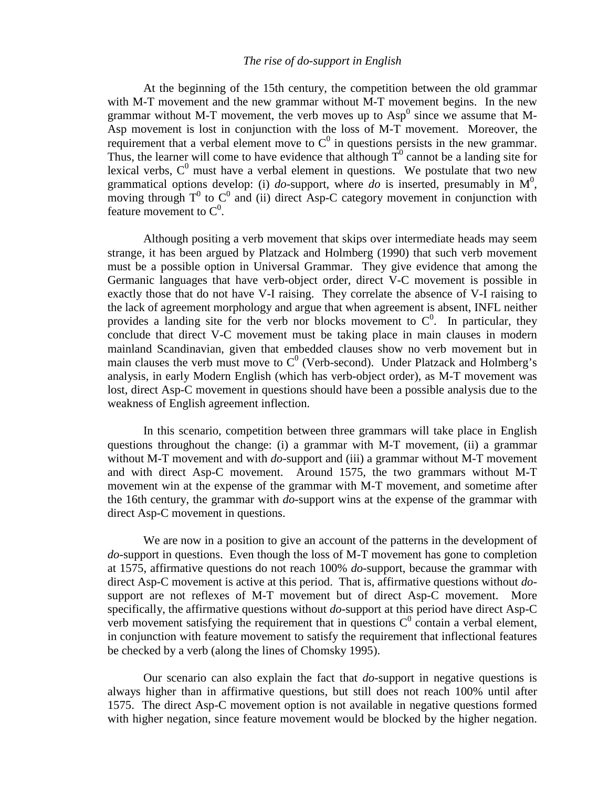#### *The rise of do-support in English*

At the beginning of the 15th century, the competition between the old grammar with M-T movement and the new grammar without M-T movement begins. In the new grammar without M-T movement, the verb moves up to  $Asp<sup>0</sup>$  since we assume that M-Asp movement is lost in conjunction with the loss of M-T movement. Moreover, the requirement that a verbal element move to  $C^0$  in questions persists in the new grammar. Thus, the learner will come to have evidence that although  $T^0$  cannot be a landing site for lexical verbs,  $C^0$  must have a verbal element in questions. We postulate that two new grammatical options develop: (i) *do*-support, where *do* is inserted, presumably in  $M^0$ , moving through  $T^0$  to  $C^0$  and (ii) direct Asp-C category movement in conjunction with feature movement to  $C^0$ .

Although positing a verb movement that skips over intermediate heads may seem strange, it has been argued by Platzack and Holmberg (1990) that such verb movement must be a possible option in Universal Grammar. They give evidence that among the Germanic languages that have verb-object order, direct V-C movement is possible in exactly those that do not have V-I raising. They correlate the absence of V-I raising to the lack of agreement morphology and argue that when agreement is absent, INFL neither provides a landing site for the verb nor blocks movement to  $C^0$ . In particular, they conclude that direct V-C movement must be taking place in main clauses in modern mainland Scandinavian, given that embedded clauses show no verb movement but in main clauses the verb must move to  $C^0$  (Verb-second). Under Platzack and Holmberg's analysis, in early Modern English (which has verb-object order), as M-T movement was lost, direct Asp-C movement in questions should have been a possible analysis due to the weakness of English agreement inflection.

In this scenario, competition between three grammars will take place in English questions throughout the change: (i) a grammar with M-T movement, (ii) a grammar without M-T movement and with *do*-support and (iii) a grammar without M-T movement and with direct Asp-C movement. Around 1575, the two grammars without M-T movement win at the expense of the grammar with M-T movement, and sometime after the 16th century, the grammar with *do*-support wins at the expense of the grammar with direct Asp-C movement in questions.

We are now in a position to give an account of the patterns in the development of *do*-support in questions. Even though the loss of M-T movement has gone to completion at 1575, affirmative questions do not reach 100% *do*-support, because the grammar with direct Asp-C movement is active at this period. That is, affirmative questions without *do*support are not reflexes of M-T movement but of direct Asp-C movement. More specifically, the affirmative questions without *do*-support at this period have direct Asp-C verb movement satisfying the requirement that in questions  $C^0$  contain a verbal element, in conjunction with feature movement to satisfy the requirement that inflectional features be checked by a verb (along the lines of Chomsky 1995).

Our scenario can also explain the fact that *do*-support in negative questions is always higher than in affirmative questions, but still does not reach 100% until after 1575. The direct Asp-C movement option is not available in negative questions formed with higher negation, since feature movement would be blocked by the higher negation.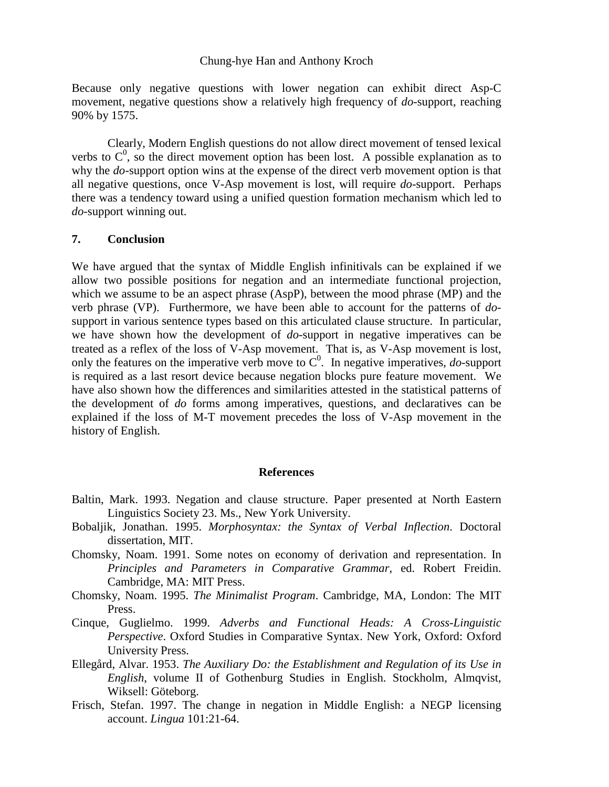Because only negative questions with lower negation can exhibit direct Asp-C movement, negative questions show a relatively high frequency of *do*-support, reaching 90% by 1575.

Clearly, Modern English questions do not allow direct movement of tensed lexical verbs to  $C^0$ , so the direct movement option has been lost. A possible explanation as to why the *do*-support option wins at the expense of the direct verb movement option is that all negative questions, once V-Asp movement is lost, will require *do*-support. Perhaps there was a tendency toward using a unified question formation mechanism which led to *do*-support winning out.

#### **7. Conclusion**

We have argued that the syntax of Middle English infinitivals can be explained if we allow two possible positions for negation and an intermediate functional projection, which we assume to be an aspect phrase (AspP), between the mood phrase (MP) and the verb phrase (VP). Furthermore, we have been able to account for the patterns of *do*support in various sentence types based on this articulated clause structure. In particular, we have shown how the development of *do*-support in negative imperatives can be treated as a reflex of the loss of V-Asp movement. That is, as V-Asp movement is lost, only the features on the imperative verb move to  $C^0$ . In negative imperatives, *do*-support is required as a last resort device because negation blocks pure feature movement. We have also shown how the differences and similarities attested in the statistical patterns of the development of *do* forms among imperatives, questions, and declaratives can be explained if the loss of M-T movement precedes the loss of V-Asp movement in the history of English.

#### **References**

- Baltin, Mark. 1993. Negation and clause structure. Paper presented at North Eastern Linguistics Society 23. Ms., New York University.
- Bobaljik, Jonathan. 1995. *Morphosyntax: the Syntax of Verbal Inflection*. Doctoral dissertation, MIT.
- Chomsky, Noam. 1991. Some notes on economy of derivation and representation. In *Principles and Parameters in Comparative Grammar*, ed. Robert Freidin. Cambridge, MA: MIT Press.
- Chomsky, Noam. 1995. *The Minimalist Program*. Cambridge, MA, London: The MIT Press.
- Cinque, Guglielmo. 1999. *Adverbs and Functional Heads: A Cross-Linguistic Perspective*. Oxford Studies in Comparative Syntax. New York, Oxford: Oxford University Press.
- Ellegård, Alvar. 1953. *The Auxiliary Do: the Establishment and Regulation of its Use in English*, volume II of Gothenburg Studies in English. Stockholm, Almqvist, Wiksell: Göteborg.
- Frisch, Stefan. 1997. The change in negation in Middle English: a NEGP licensing account. *Lingua* 101:21-64.